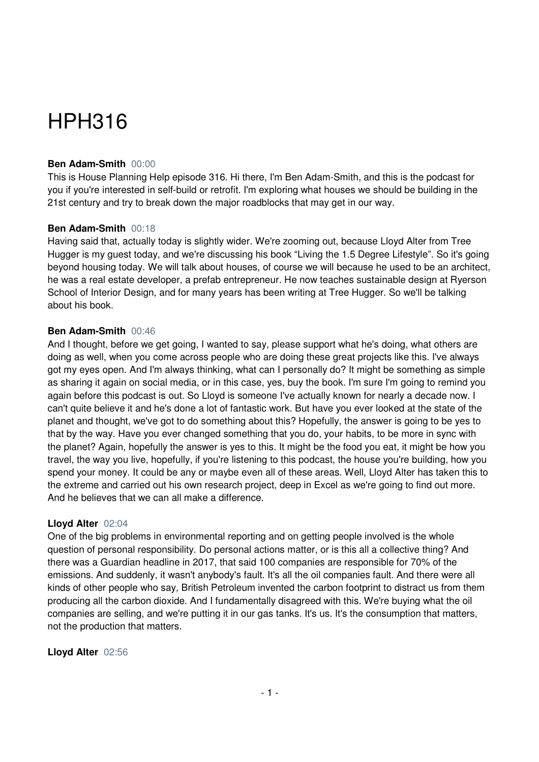# HPH316

## **Ben Adam-Smith** 00:00

This is House Planning Help episode 316. Hi there, I'm Ben Adam-Smith, and this is the podcast for you if you're interested in self-build or retrofit. I'm exploring what houses we should be building in the 21st century and try to break down the major roadblocks that may get in our way.

#### **Ben Adam-Smith** 00:18

Having said that, actually today is slightly wider. We're zooming out, because Lloyd Alter from Tree Hugger is my guest today, and we're discussing his book "Living the 1.5 Degree Lifestyle". So it's going beyond housing today. We will talk about houses, of course we will because he used to be an architect, he was a real estate developer, a prefab entrepreneur. He now teaches sustainable design at Ryerson School of Interior Design, and for many years has been writing at Tree Hugger. So we'll be talking about his book.

#### **Ben Adam-Smith** 00:46

And I thought, before we get going, I wanted to say, please support what he's doing, what others are doing as well, when you come across people who are doing these great projects like this. I've always got my eyes open. And I'm always thinking, what can I personally do? It might be something as simple as sharing it again on social media, or in this case, yes, buy the book. I'm sure I'm going to remind you again before this podcast is out. So Lloyd is someone I've actually known for nearly a decade now. I can't quite believe it and he's done a lot of fantastic work. But have you ever looked at the state of the planet and thought, we've got to do something about this? Hopefully, the answer is going to be yes to that by the way. Have you ever changed something that you do, your habits, to be more in sync with the planet? Again, hopefully the answer is yes to this. It might be the food you eat, it might be how you travel, the way you live, hopefully, if you're listening to this podcast, the house you're building, how you spend your money. It could be any or maybe even all of these areas. Well, Lloyd Alter has taken this to the extreme and carried out his own research project, deep in Excel as we're going to find out more. And he believes that we can all make a difference.

## **Lloyd Alter** 02:04

One of the big problems in environmental reporting and on getting people involved is the whole question of personal responsibility. Do personal actions matter, or is this all a collective thing? And there was a Guardian headline in 2017, that said 100 companies are responsible for 70% of the emissions. And suddenly, it wasn't anybody's fault. It's all the oil companies fault. And there were all kinds of other people who say, British Petroleum invented the carbon footprint to distract us from them producing all the carbon dioxide. And I fundamentally disagreed with this. We're buying what the oil companies are selling, and we're putting it in our gas tanks. It's us. It's the consumption that matters, not the production that matters.

#### **Lloyd Alter** 02:56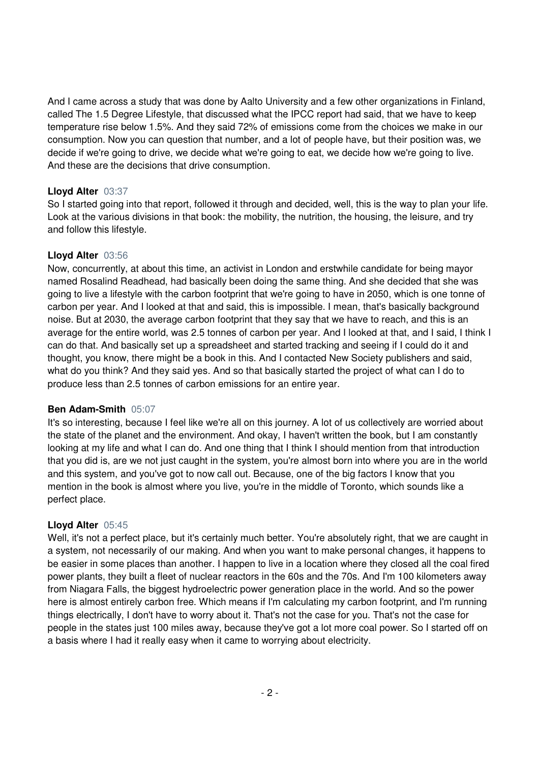And I came across a study that was done by Aalto University and a few other organizations in Finland, called The 1.5 Degree Lifestyle, that discussed what the IPCC report had said, that we have to keep temperature rise below 1.5%. And they said 72% of emissions come from the choices we make in our consumption. Now you can question that number, and a lot of people have, but their position was, we decide if we're going to drive, we decide what we're going to eat, we decide how we're going to live. And these are the decisions that drive consumption.

# **Lloyd Alter** 03:37

So I started going into that report, followed it through and decided, well, this is the way to plan your life. Look at the various divisions in that book: the mobility, the nutrition, the housing, the leisure, and try and follow this lifestyle.

# **Lloyd Alter** 03:56

Now, concurrently, at about this time, an activist in London and erstwhile candidate for being mayor named Rosalind Readhead, had basically been doing the same thing. And she decided that she was going to live a lifestyle with the carbon footprint that we're going to have in 2050, which is one tonne of carbon per year. And I looked at that and said, this is impossible. I mean, that's basically background noise. But at 2030, the average carbon footprint that they say that we have to reach, and this is an average for the entire world, was 2.5 tonnes of carbon per year. And I looked at that, and I said, I think I can do that. And basically set up a spreadsheet and started tracking and seeing if I could do it and thought, you know, there might be a book in this. And I contacted New Society publishers and said, what do you think? And they said yes. And so that basically started the project of what can I do to produce less than 2.5 tonnes of carbon emissions for an entire year.

## **Ben Adam-Smith** 05:07

It's so interesting, because I feel like we're all on this journey. A lot of us collectively are worried about the state of the planet and the environment. And okay, I haven't written the book, but I am constantly looking at my life and what I can do. And one thing that I think I should mention from that introduction that you did is, are we not just caught in the system, you're almost born into where you are in the world and this system, and you've got to now call out. Because, one of the big factors I know that you mention in the book is almost where you live, you're in the middle of Toronto, which sounds like a perfect place.

# **Lloyd Alter** 05:45

Well, it's not a perfect place, but it's certainly much better. You're absolutely right, that we are caught in a system, not necessarily of our making. And when you want to make personal changes, it happens to be easier in some places than another. I happen to live in a location where they closed all the coal fired power plants, they built a fleet of nuclear reactors in the 60s and the 70s. And I'm 100 kilometers away from Niagara Falls, the biggest hydroelectric power generation place in the world. And so the power here is almost entirely carbon free. Which means if I'm calculating my carbon footprint, and I'm running things electrically, I don't have to worry about it. That's not the case for you. That's not the case for people in the states just 100 miles away, because they've got a lot more coal power. So I started off on a basis where I had it really easy when it came to worrying about electricity.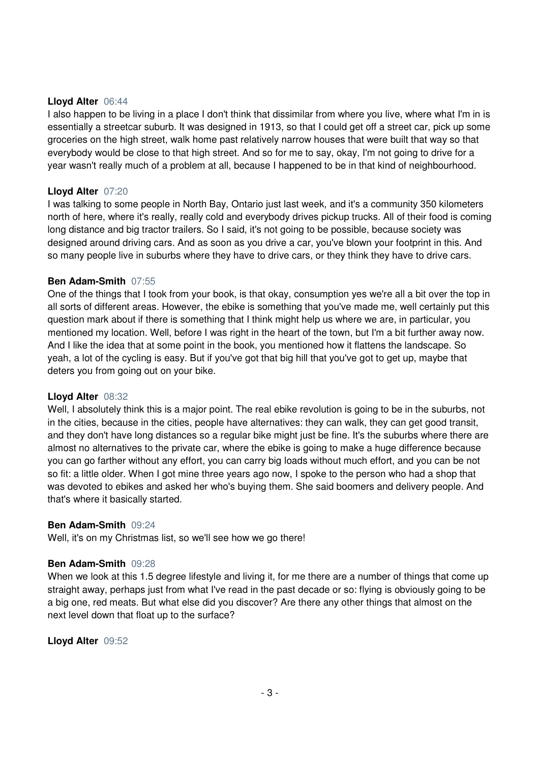#### **Lloyd Alter** 06:44

I also happen to be living in a place I don't think that dissimilar from where you live, where what I'm in is essentially a streetcar suburb. It was designed in 1913, so that I could get off a street car, pick up some groceries on the high street, walk home past relatively narrow houses that were built that way so that everybody would be close to that high street. And so for me to say, okay, I'm not going to drive for a year wasn't really much of a problem at all, because I happened to be in that kind of neighbourhood.

## **Lloyd Alter** 07:20

I was talking to some people in North Bay, Ontario just last week, and it's a community 350 kilometers north of here, where it's really, really cold and everybody drives pickup trucks. All of their food is coming long distance and big tractor trailers. So I said, it's not going to be possible, because society was designed around driving cars. And as soon as you drive a car, you've blown your footprint in this. And so many people live in suburbs where they have to drive cars, or they think they have to drive cars.

## **Ben Adam-Smith** 07:55

One of the things that I took from your book, is that okay, consumption yes we're all a bit over the top in all sorts of different areas. However, the ebike is something that you've made me, well certainly put this question mark about if there is something that I think might help us where we are, in particular, you mentioned my location. Well, before I was right in the heart of the town, but I'm a bit further away now. And I like the idea that at some point in the book, you mentioned how it flattens the landscape. So yeah, a lot of the cycling is easy. But if you've got that big hill that you've got to get up, maybe that deters you from going out on your bike.

## **Lloyd Alter** 08:32

Well, I absolutely think this is a major point. The real ebike revolution is going to be in the suburbs, not in the cities, because in the cities, people have alternatives: they can walk, they can get good transit, and they don't have long distances so a regular bike might just be fine. It's the suburbs where there are almost no alternatives to the private car, where the ebike is going to make a huge difference because you can go farther without any effort, you can carry big loads without much effort, and you can be not so fit: a little older. When I got mine three years ago now, I spoke to the person who had a shop that was devoted to ebikes and asked her who's buying them. She said boomers and delivery people. And that's where it basically started.

#### **Ben Adam-Smith** 09:24

Well, it's on my Christmas list, so we'll see how we go there!

## **Ben Adam-Smith** 09:28

When we look at this 1.5 degree lifestyle and living it, for me there are a number of things that come up straight away, perhaps just from what I've read in the past decade or so: flying is obviously going to be a big one, red meats. But what else did you discover? Are there any other things that almost on the next level down that float up to the surface?

**Lloyd Alter** 09:52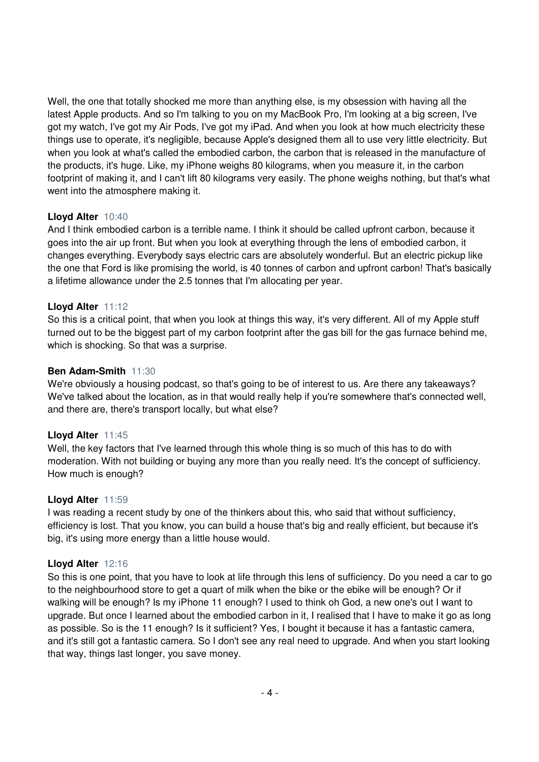Well, the one that totally shocked me more than anything else, is my obsession with having all the latest Apple products. And so I'm talking to you on my MacBook Pro, I'm looking at a big screen, I've got my watch, I've got my Air Pods, I've got my iPad. And when you look at how much electricity these things use to operate, it's negligible, because Apple's designed them all to use very little electricity. But when you look at what's called the embodied carbon, the carbon that is released in the manufacture of the products, it's huge. Like, my iPhone weighs 80 kilograms, when you measure it, in the carbon footprint of making it, and I can't lift 80 kilograms very easily. The phone weighs nothing, but that's what went into the atmosphere making it.

## **Lloyd Alter** 10:40

And I think embodied carbon is a terrible name. I think it should be called upfront carbon, because it goes into the air up front. But when you look at everything through the lens of embodied carbon, it changes everything. Everybody says electric cars are absolutely wonderful. But an electric pickup like the one that Ford is like promising the world, is 40 tonnes of carbon and upfront carbon! That's basically a lifetime allowance under the 2.5 tonnes that I'm allocating per year.

# **Lloyd Alter** 11:12

So this is a critical point, that when you look at things this way, it's very different. All of my Apple stuff turned out to be the biggest part of my carbon footprint after the gas bill for the gas furnace behind me, which is shocking. So that was a surprise.

# **Ben Adam-Smith** 11:30

We're obviously a housing podcast, so that's going to be of interest to us. Are there any takeaways? We've talked about the location, as in that would really help if you're somewhere that's connected well, and there are, there's transport locally, but what else?

## **Lloyd Alter** 11:45

Well, the key factors that I've learned through this whole thing is so much of this has to do with moderation. With not building or buying any more than you really need. It's the concept of sufficiency. How much is enough?

## **Lloyd Alter** 11:59

I was reading a recent study by one of the thinkers about this, who said that without sufficiency, efficiency is lost. That you know, you can build a house that's big and really efficient, but because it's big, it's using more energy than a little house would.

## **Lloyd Alter** 12:16

So this is one point, that you have to look at life through this lens of sufficiency. Do you need a car to go to the neighbourhood store to get a quart of milk when the bike or the ebike will be enough? Or if walking will be enough? Is my iPhone 11 enough? I used to think oh God, a new one's out I want to upgrade. But once I learned about the embodied carbon in it, I realised that I have to make it go as long as possible. So is the 11 enough? Is it sufficient? Yes, I bought it because it has a fantastic camera, and it's still got a fantastic camera. So I don't see any real need to upgrade. And when you start looking that way, things last longer, you save money.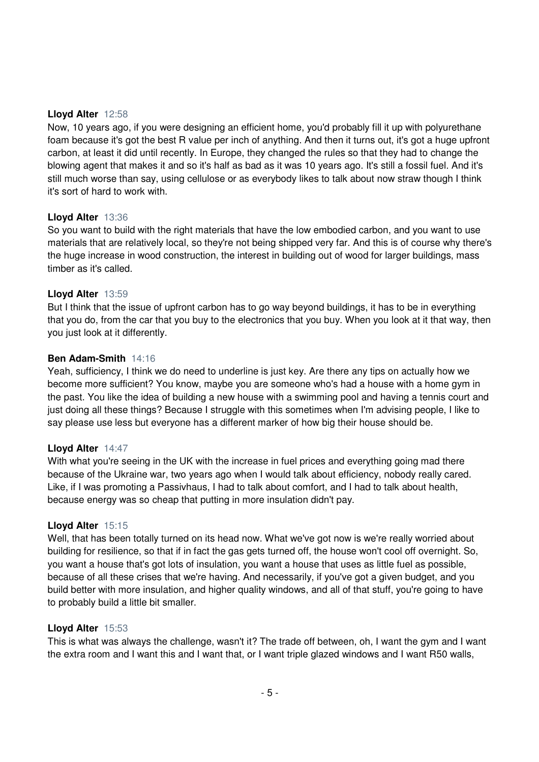## **Lloyd Alter** 12:58

Now, 10 years ago, if you were designing an efficient home, you'd probably fill it up with polyurethane foam because it's got the best R value per inch of anything. And then it turns out, it's got a huge upfront carbon, at least it did until recently. In Europe, they changed the rules so that they had to change the blowing agent that makes it and so it's half as bad as it was 10 years ago. It's still a fossil fuel. And it's still much worse than say, using cellulose or as everybody likes to talk about now straw though I think it's sort of hard to work with.

#### **Lloyd Alter** 13:36

So you want to build with the right materials that have the low embodied carbon, and you want to use materials that are relatively local, so they're not being shipped very far. And this is of course why there's the huge increase in wood construction, the interest in building out of wood for larger buildings, mass timber as it's called.

#### **Lloyd Alter** 13:59

But I think that the issue of upfront carbon has to go way beyond buildings, it has to be in everything that you do, from the car that you buy to the electronics that you buy. When you look at it that way, then you just look at it differently.

#### **Ben Adam-Smith** 14:16

Yeah, sufficiency, I think we do need to underline is just key. Are there any tips on actually how we become more sufficient? You know, maybe you are someone who's had a house with a home gym in the past. You like the idea of building a new house with a swimming pool and having a tennis court and just doing all these things? Because I struggle with this sometimes when I'm advising people, I like to say please use less but everyone has a different marker of how big their house should be.

#### **Lloyd Alter** 14:47

With what you're seeing in the UK with the increase in fuel prices and everything going mad there because of the Ukraine war, two years ago when I would talk about efficiency, nobody really cared. Like, if I was promoting a Passivhaus, I had to talk about comfort, and I had to talk about health, because energy was so cheap that putting in more insulation didn't pay.

## **Lloyd Alter** 15:15

Well, that has been totally turned on its head now. What we've got now is we're really worried about building for resilience, so that if in fact the gas gets turned off, the house won't cool off overnight. So, you want a house that's got lots of insulation, you want a house that uses as little fuel as possible, because of all these crises that we're having. And necessarily, if you've got a given budget, and you build better with more insulation, and higher quality windows, and all of that stuff, you're going to have to probably build a little bit smaller.

## **Lloyd Alter** 15:53

This is what was always the challenge, wasn't it? The trade off between, oh, I want the gym and I want the extra room and I want this and I want that, or I want triple glazed windows and I want R50 walls,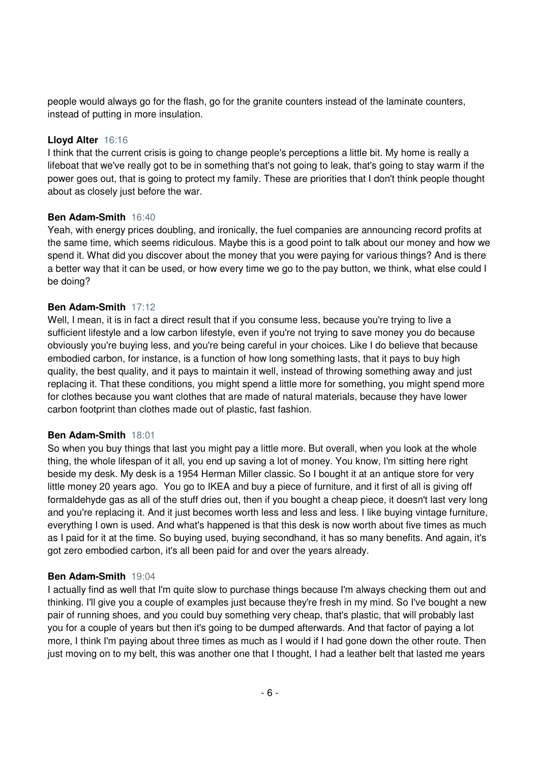people would always go for the flash, go for the granite counters instead of the laminate counters, instead of putting in more insulation.

# **Lloyd Alter** 16:16

I think that the current crisis is going to change people's perceptions a little bit. My home is really a lifeboat that we've really got to be in something that's not going to leak, that's going to stay warm if the power goes out, that is going to protect my family. These are priorities that I don't think people thought about as closely just before the war.

# **Ben Adam-Smith** 16:40

Yeah, with energy prices doubling, and ironically, the fuel companies are announcing record profits at the same time, which seems ridiculous. Maybe this is a good point to talk about our money and how we spend it. What did you discover about the money that you were paying for various things? And is there a better way that it can be used, or how every time we go to the pay button, we think, what else could I be doing?

# **Ben Adam-Smith** 17:12

Well, I mean, it is in fact a direct result that if you consume less, because you're trying to live a sufficient lifestyle and a low carbon lifestyle, even if you're not trying to save money you do because obviously you're buying less, and you're being careful in your choices. Like I do believe that because embodied carbon, for instance, is a function of how long something lasts, that it pays to buy high quality, the best quality, and it pays to maintain it well, instead of throwing something away and just replacing it. That these conditions, you might spend a little more for something, you might spend more for clothes because you want clothes that are made of natural materials, because they have lower carbon footprint than clothes made out of plastic, fast fashion.

## **Ben Adam-Smith** 18:01

So when you buy things that last you might pay a little more. But overall, when you look at the whole thing, the whole lifespan of it all, you end up saving a lot of money. You know, I'm sitting here right beside my desk. My desk is a 1954 Herman Miller classic. So I bought it at an antique store for very little money 20 years ago. You go to IKEA and buy a piece of furniture, and it first of all is giving off formaldehyde gas as all of the stuff dries out, then if you bought a cheap piece, it doesn't last very long and you're replacing it. And it just becomes worth less and less and less. I like buying vintage furniture, everything I own is used. And what's happened is that this desk is now worth about five times as much as I paid for it at the time. So buying used, buying secondhand, it has so many benefits. And again, it's got zero embodied carbon, it's all been paid for and over the years already.

## **Ben Adam-Smith** 19:04

I actually find as well that I'm quite slow to purchase things because I'm always checking them out and thinking. I'll give you a couple of examples just because they're fresh in my mind. So I've bought a new pair of running shoes, and you could buy something very cheap, that's plastic, that will probably last you for a couple of years but then it's going to be dumped afterwards. And that factor of paying a lot more, I think I'm paying about three times as much as I would if I had gone down the other route. Then just moving on to my belt, this was another one that I thought, I had a leather belt that lasted me years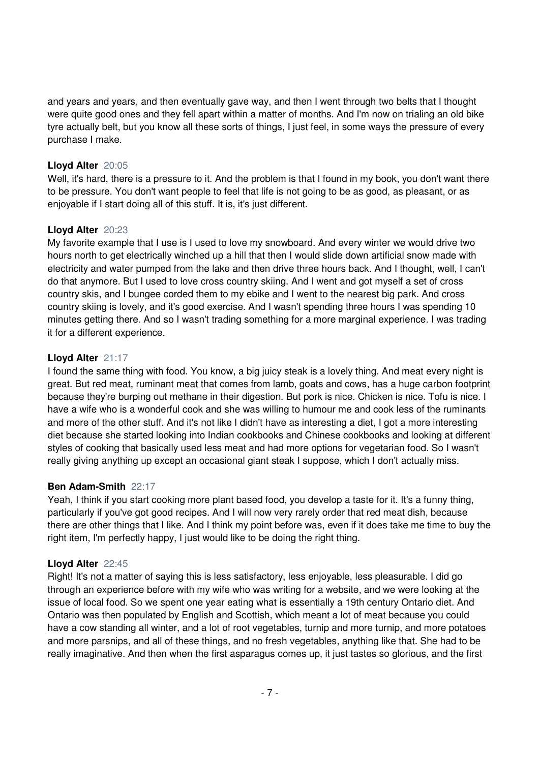and years and years, and then eventually gave way, and then I went through two belts that I thought were quite good ones and they fell apart within a matter of months. And I'm now on trialing an old bike tyre actually belt, but you know all these sorts of things, I just feel, in some ways the pressure of every purchase I make.

# **Lloyd Alter** 20:05

Well, it's hard, there is a pressure to it. And the problem is that I found in my book, you don't want there to be pressure. You don't want people to feel that life is not going to be as good, as pleasant, or as enjoyable if I start doing all of this stuff. It is, it's just different.

# **Lloyd Alter** 20:23

My favorite example that I use is I used to love my snowboard. And every winter we would drive two hours north to get electrically winched up a hill that then I would slide down artificial snow made with electricity and water pumped from the lake and then drive three hours back. And I thought, well, I can't do that anymore. But I used to love cross country skiing. And I went and got myself a set of cross country skis, and I bungee corded them to my ebike and I went to the nearest big park. And cross country skiing is lovely, and it's good exercise. And I wasn't spending three hours I was spending 10 minutes getting there. And so I wasn't trading something for a more marginal experience. I was trading it for a different experience.

# **Lloyd Alter** 21:17

I found the same thing with food. You know, a big juicy steak is a lovely thing. And meat every night is great. But red meat, ruminant meat that comes from lamb, goats and cows, has a huge carbon footprint because they're burping out methane in their digestion. But pork is nice. Chicken is nice. Tofu is nice. I have a wife who is a wonderful cook and she was willing to humour me and cook less of the ruminants and more of the other stuff. And it's not like I didn't have as interesting a diet, I got a more interesting diet because she started looking into Indian cookbooks and Chinese cookbooks and looking at different styles of cooking that basically used less meat and had more options for vegetarian food. So I wasn't really giving anything up except an occasional giant steak I suppose, which I don't actually miss.

# **Ben Adam-Smith** 22:17

Yeah, I think if you start cooking more plant based food, you develop a taste for it. It's a funny thing, particularly if you've got good recipes. And I will now very rarely order that red meat dish, because there are other things that I like. And I think my point before was, even if it does take me time to buy the right item, I'm perfectly happy, I just would like to be doing the right thing.

# **Lloyd Alter** 22:45

Right! It's not a matter of saying this is less satisfactory, less enjoyable, less pleasurable. I did go through an experience before with my wife who was writing for a website, and we were looking at the issue of local food. So we spent one year eating what is essentially a 19th century Ontario diet. And Ontario was then populated by English and Scottish, which meant a lot of meat because you could have a cow standing all winter, and a lot of root vegetables, turnip and more turnip, and more potatoes and more parsnips, and all of these things, and no fresh vegetables, anything like that. She had to be really imaginative. And then when the first asparagus comes up, it just tastes so glorious, and the first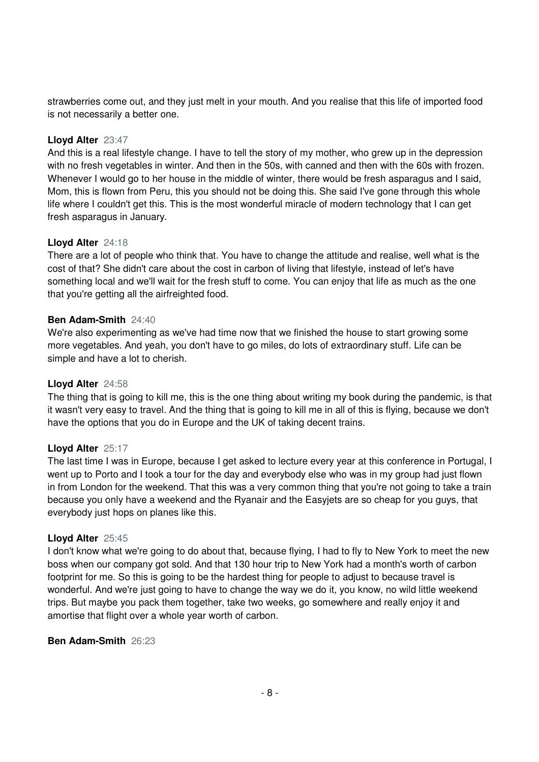strawberries come out, and they just melt in your mouth. And you realise that this life of imported food is not necessarily a better one.

## **Lloyd Alter** 23:47

And this is a real lifestyle change. I have to tell the story of my mother, who grew up in the depression with no fresh vegetables in winter. And then in the 50s, with canned and then with the 60s with frozen. Whenever I would go to her house in the middle of winter, there would be fresh asparagus and I said, Mom, this is flown from Peru, this you should not be doing this. She said I've gone through this whole life where I couldn't get this. This is the most wonderful miracle of modern technology that I can get fresh asparagus in January.

# **Lloyd Alter** 24:18

There are a lot of people who think that. You have to change the attitude and realise, well what is the cost of that? She didn't care about the cost in carbon of living that lifestyle, instead of let's have something local and we'll wait for the fresh stuff to come. You can enjoy that life as much as the one that you're getting all the airfreighted food.

## **Ben Adam-Smith** 24:40

We're also experimenting as we've had time now that we finished the house to start growing some more vegetables. And yeah, you don't have to go miles, do lots of extraordinary stuff. Life can be simple and have a lot to cherish.

## **Lloyd Alter** 24:58

The thing that is going to kill me, this is the one thing about writing my book during the pandemic, is that it wasn't very easy to travel. And the thing that is going to kill me in all of this is flying, because we don't have the options that you do in Europe and the UK of taking decent trains.

## **Lloyd Alter** 25:17

The last time I was in Europe, because I get asked to lecture every year at this conference in Portugal, I went up to Porto and I took a tour for the day and everybody else who was in my group had just flown in from London for the weekend. That this was a very common thing that you're not going to take a train because you only have a weekend and the Ryanair and the Easyjets are so cheap for you guys, that everybody just hops on planes like this.

## **Lloyd Alter** 25:45

I don't know what we're going to do about that, because flying, I had to fly to New York to meet the new boss when our company got sold. And that 130 hour trip to New York had a month's worth of carbon footprint for me. So this is going to be the hardest thing for people to adjust to because travel is wonderful. And we're just going to have to change the way we do it, you know, no wild little weekend trips. But maybe you pack them together, take two weeks, go somewhere and really enjoy it and amortise that flight over a whole year worth of carbon.

## **Ben Adam-Smith** 26:23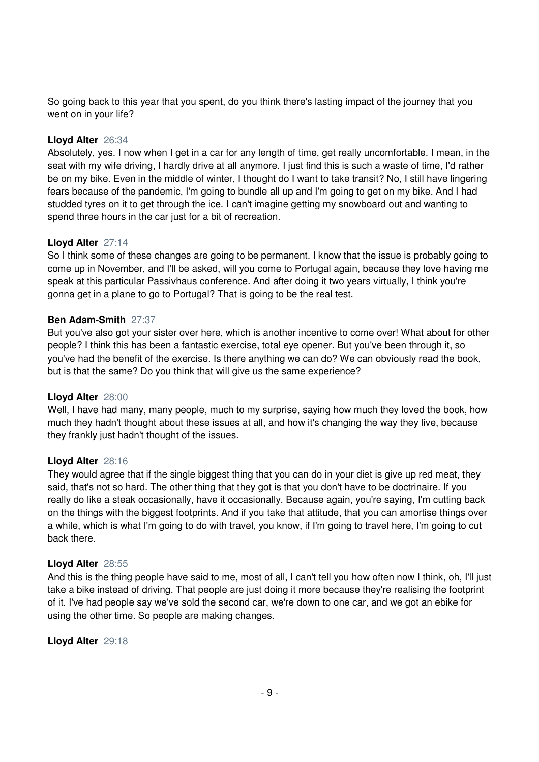So going back to this year that you spent, do you think there's lasting impact of the journey that you went on in your life?

## **Lloyd Alter** 26:34

Absolutely, yes. I now when I get in a car for any length of time, get really uncomfortable. I mean, in the seat with my wife driving, I hardly drive at all anymore. I just find this is such a waste of time, I'd rather be on my bike. Even in the middle of winter, I thought do I want to take transit? No, I still have lingering fears because of the pandemic, I'm going to bundle all up and I'm going to get on my bike. And I had studded tyres on it to get through the ice. I can't imagine getting my snowboard out and wanting to spend three hours in the car just for a bit of recreation.

## **Lloyd Alter** 27:14

So I think some of these changes are going to be permanent. I know that the issue is probably going to come up in November, and I'll be asked, will you come to Portugal again, because they love having me speak at this particular Passivhaus conference. And after doing it two years virtually, I think you're gonna get in a plane to go to Portugal? That is going to be the real test.

## **Ben Adam-Smith** 27:37

But you've also got your sister over here, which is another incentive to come over! What about for other people? I think this has been a fantastic exercise, total eye opener. But you've been through it, so you've had the benefit of the exercise. Is there anything we can do? We can obviously read the book, but is that the same? Do you think that will give us the same experience?

## **Lloyd Alter** 28:00

Well, I have had many, many people, much to my surprise, saying how much they loved the book, how much they hadn't thought about these issues at all, and how it's changing the way they live, because they frankly just hadn't thought of the issues.

## **Lloyd Alter** 28:16

They would agree that if the single biggest thing that you can do in your diet is give up red meat, they said, that's not so hard. The other thing that they got is that you don't have to be doctrinaire. If you really do like a steak occasionally, have it occasionally. Because again, you're saying, I'm cutting back on the things with the biggest footprints. And if you take that attitude, that you can amortise things over a while, which is what I'm going to do with travel, you know, if I'm going to travel here, I'm going to cut back there.

## **Lloyd Alter** 28:55

And this is the thing people have said to me, most of all, I can't tell you how often now I think, oh, I'll just take a bike instead of driving. That people are just doing it more because they're realising the footprint of it. I've had people say we've sold the second car, we're down to one car, and we got an ebike for using the other time. So people are making changes.

# **Lloyd Alter** 29:18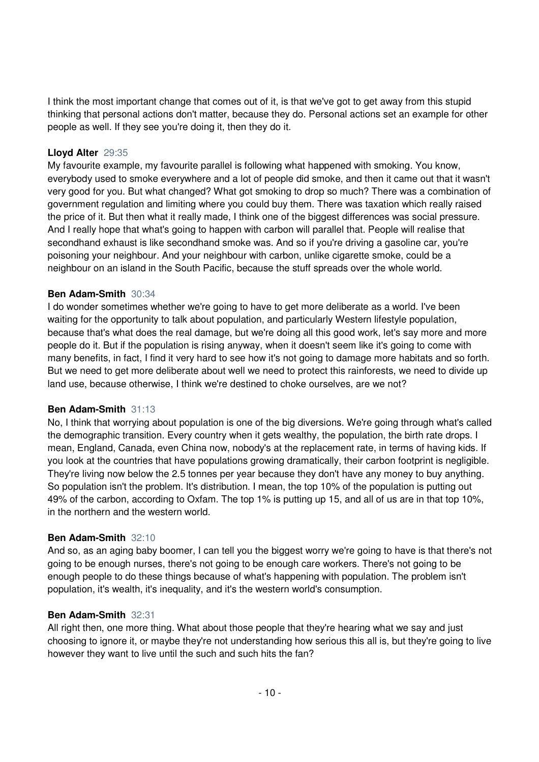I think the most important change that comes out of it, is that we've got to get away from this stupid thinking that personal actions don't matter, because they do. Personal actions set an example for other people as well. If they see you're doing it, then they do it.

## **Lloyd Alter** 29:35

My favourite example, my favourite parallel is following what happened with smoking. You know, everybody used to smoke everywhere and a lot of people did smoke, and then it came out that it wasn't very good for you. But what changed? What got smoking to drop so much? There was a combination of government regulation and limiting where you could buy them. There was taxation which really raised the price of it. But then what it really made, I think one of the biggest differences was social pressure. And I really hope that what's going to happen with carbon will parallel that. People will realise that secondhand exhaust is like secondhand smoke was. And so if you're driving a gasoline car, you're poisoning your neighbour. And your neighbour with carbon, unlike cigarette smoke, could be a neighbour on an island in the South Pacific, because the stuff spreads over the whole world.

## **Ben Adam-Smith** 30:34

I do wonder sometimes whether we're going to have to get more deliberate as a world. I've been waiting for the opportunity to talk about population, and particularly Western lifestyle population, because that's what does the real damage, but we're doing all this good work, let's say more and more people do it. But if the population is rising anyway, when it doesn't seem like it's going to come with many benefits, in fact, I find it very hard to see how it's not going to damage more habitats and so forth. But we need to get more deliberate about well we need to protect this rainforests, we need to divide up land use, because otherwise, I think we're destined to choke ourselves, are we not?

## **Ben Adam-Smith** 31:13

No, I think that worrying about population is one of the big diversions. We're going through what's called the demographic transition. Every country when it gets wealthy, the population, the birth rate drops. I mean, England, Canada, even China now, nobody's at the replacement rate, in terms of having kids. If you look at the countries that have populations growing dramatically, their carbon footprint is negligible. They're living now below the 2.5 tonnes per year because they don't have any money to buy anything. So population isn't the problem. It's distribution. I mean, the top 10% of the population is putting out 49% of the carbon, according to Oxfam. The top 1% is putting up 15, and all of us are in that top 10%, in the northern and the western world.

## **Ben Adam-Smith** 32:10

And so, as an aging baby boomer, I can tell you the biggest worry we're going to have is that there's not going to be enough nurses, there's not going to be enough care workers. There's not going to be enough people to do these things because of what's happening with population. The problem isn't population, it's wealth, it's inequality, and it's the western world's consumption.

## **Ben Adam-Smith** 32:31

All right then, one more thing. What about those people that they're hearing what we say and just choosing to ignore it, or maybe they're not understanding how serious this all is, but they're going to live however they want to live until the such and such hits the fan?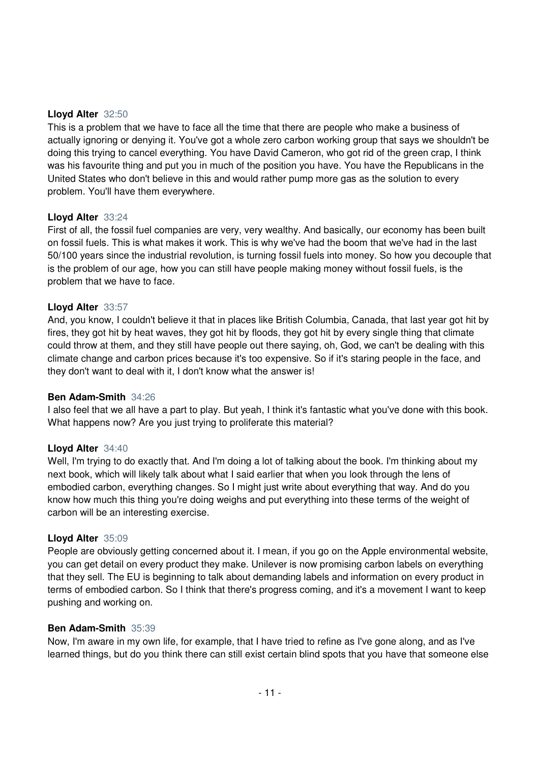## **Lloyd Alter** 32:50

This is a problem that we have to face all the time that there are people who make a business of actually ignoring or denying it. You've got a whole zero carbon working group that says we shouldn't be doing this trying to cancel everything. You have David Cameron, who got rid of the green crap, I think was his favourite thing and put you in much of the position you have. You have the Republicans in the United States who don't believe in this and would rather pump more gas as the solution to every problem. You'll have them everywhere.

## **Lloyd Alter** 33:24

First of all, the fossil fuel companies are very, very wealthy. And basically, our economy has been built on fossil fuels. This is what makes it work. This is why we've had the boom that we've had in the last 50/100 years since the industrial revolution, is turning fossil fuels into money. So how you decouple that is the problem of our age, how you can still have people making money without fossil fuels, is the problem that we have to face.

#### **Lloyd Alter** 33:57

And, you know, I couldn't believe it that in places like British Columbia, Canada, that last year got hit by fires, they got hit by heat waves, they got hit by floods, they got hit by every single thing that climate could throw at them, and they still have people out there saying, oh, God, we can't be dealing with this climate change and carbon prices because it's too expensive. So if it's staring people in the face, and they don't want to deal with it, I don't know what the answer is!

#### **Ben Adam-Smith** 34:26

I also feel that we all have a part to play. But yeah, I think it's fantastic what you've done with this book. What happens now? Are you just trying to proliferate this material?

#### **Lloyd Alter** 34:40

Well, I'm trying to do exactly that. And I'm doing a lot of talking about the book. I'm thinking about my next book, which will likely talk about what I said earlier that when you look through the lens of embodied carbon, everything changes. So I might just write about everything that way. And do you know how much this thing you're doing weighs and put everything into these terms of the weight of carbon will be an interesting exercise.

## **Lloyd Alter** 35:09

People are obviously getting concerned about it. I mean, if you go on the Apple environmental website, you can get detail on every product they make. Unilever is now promising carbon labels on everything that they sell. The EU is beginning to talk about demanding labels and information on every product in terms of embodied carbon. So I think that there's progress coming, and it's a movement I want to keep pushing and working on.

#### **Ben Adam-Smith** 35:39

Now, I'm aware in my own life, for example, that I have tried to refine as I've gone along, and as I've learned things, but do you think there can still exist certain blind spots that you have that someone else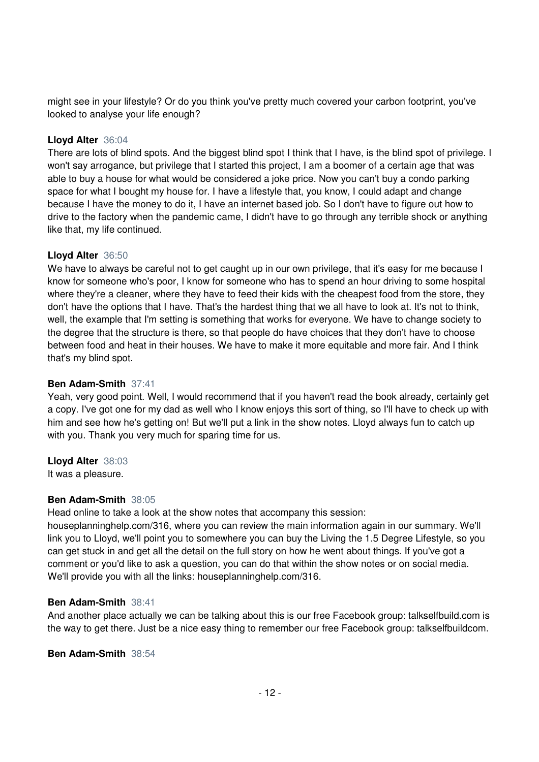might see in your lifestyle? Or do you think you've pretty much covered your carbon footprint, you've looked to analyse your life enough?

# **Lloyd Alter** 36:04

There are lots of blind spots. And the biggest blind spot I think that I have, is the blind spot of privilege. I won't say arrogance, but privilege that I started this project, I am a boomer of a certain age that was able to buy a house for what would be considered a joke price. Now you can't buy a condo parking space for what I bought my house for. I have a lifestyle that, you know, I could adapt and change because I have the money to do it, I have an internet based job. So I don't have to figure out how to drive to the factory when the pandemic came, I didn't have to go through any terrible shock or anything like that, my life continued.

## **Lloyd Alter** 36:50

We have to always be careful not to get caught up in our own privilege, that it's easy for me because I know for someone who's poor, I know for someone who has to spend an hour driving to some hospital where they're a cleaner, where they have to feed their kids with the cheapest food from the store, they don't have the options that I have. That's the hardest thing that we all have to look at. It's not to think, well, the example that I'm setting is something that works for everyone. We have to change society to the degree that the structure is there, so that people do have choices that they don't have to choose between food and heat in their houses. We have to make it more equitable and more fair. And I think that's my blind spot.

## **Ben Adam-Smith** 37:41

Yeah, very good point. Well, I would recommend that if you haven't read the book already, certainly get a copy. I've got one for my dad as well who I know enjoys this sort of thing, so I'll have to check up with him and see how he's getting on! But we'll put a link in the show notes. Lloyd always fun to catch up with you. Thank you very much for sparing time for us.

## **Lloyd Alter** 38:03

It was a pleasure.

# **Ben Adam-Smith** 38:05

Head online to take a look at the show notes that accompany this session:

houseplanninghelp.com/316, where you can review the main information again in our summary. We'll link you to Lloyd, we'll point you to somewhere you can buy the Living the 1.5 Degree Lifestyle, so you can get stuck in and get all the detail on the full story on how he went about things. If you've got a comment or you'd like to ask a question, you can do that within the show notes or on social media. We'll provide you with all the links: houseplanninghelp.com/316.

## **Ben Adam-Smith** 38:41

And another place actually we can be talking about this is our free Facebook group: talkselfbuild.com is the way to get there. Just be a nice easy thing to remember our free Facebook group: talkselfbuildcom.

## **Ben Adam-Smith** 38:54